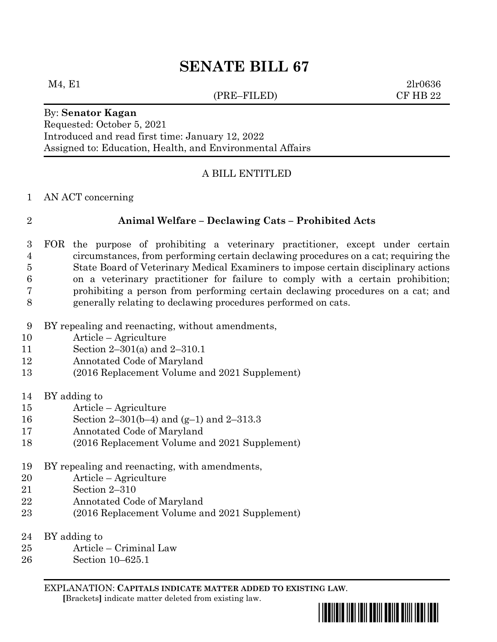# **SENATE BILL 67**

### (PRE–FILED) CF HB 22

 $M_4, E1$  2lr0636

Requested: October 5, 2021 Introduced and read first time: January 12, 2022 Assigned to: Education, Health, and Environmental Affairs

## A BILL ENTITLED

### AN ACT concerning

By: **Senator Kagan**

# **Animal Welfare – Declawing Cats – Prohibited Acts**

- FOR the purpose of prohibiting a veterinary practitioner, except under certain circumstances, from performing certain declawing procedures on a cat; requiring the State Board of Veterinary Medical Examiners to impose certain disciplinary actions on a veterinary practitioner for failure to comply with a certain prohibition; prohibiting a person from performing certain declawing procedures on a cat; and generally relating to declawing procedures performed on cats.
- BY repealing and reenacting, without amendments,
- Article Agriculture
- Section 2–301(a) and 2–310.1
- Annotated Code of Maryland
- (2016 Replacement Volume and 2021 Supplement)
- BY adding to
- Article Agriculture
- Section 2–301(b–4) and (g–1) and 2–313.3
- Annotated Code of Maryland
- (2016 Replacement Volume and 2021 Supplement)
- BY repealing and reenacting, with amendments,
- Article Agriculture
- Section 2–310
- Annotated Code of Maryland
- (2016 Replacement Volume and 2021 Supplement)
- BY adding to
- Article Criminal Law
- Section 10–625.1

EXPLANATION: **CAPITALS INDICATE MATTER ADDED TO EXISTING LAW**.

 **[**Brackets**]** indicate matter deleted from existing law.

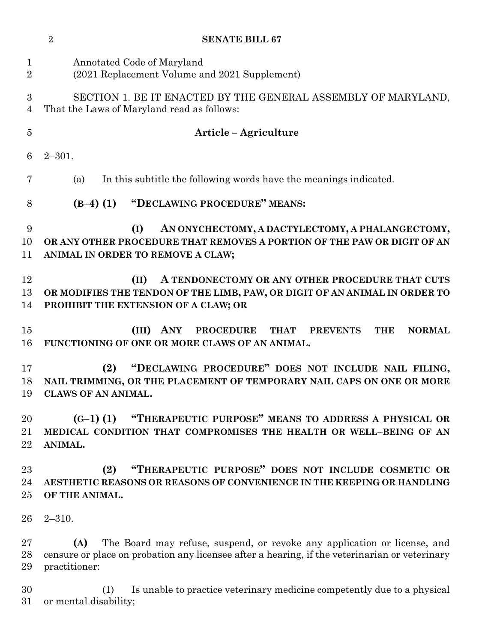|                               | $\overline{2}$<br><b>SENATE BILL 67</b>                                                                                                                                                           |
|-------------------------------|---------------------------------------------------------------------------------------------------------------------------------------------------------------------------------------------------|
| $\mathbf 1$<br>$\overline{2}$ | Annotated Code of Maryland<br>(2021 Replacement Volume and 2021 Supplement)                                                                                                                       |
| 3<br>$\overline{4}$           | SECTION 1. BE IT ENACTED BY THE GENERAL ASSEMBLY OF MARYLAND,<br>That the Laws of Maryland read as follows:                                                                                       |
| $\overline{5}$                | Article - Agriculture                                                                                                                                                                             |
| 6                             | $2 - 301.$                                                                                                                                                                                        |
| 7                             | In this subtitle the following words have the meanings indicated.<br>(a)                                                                                                                          |
| 8                             | "DECLAWING PROCEDURE" MEANS:<br>$(B-4)$ (1)                                                                                                                                                       |
| 9<br>10<br>11                 | AN ONYCHECTOMY, A DACTYLECTOMY, A PHALANGECTOMY,<br>(I)<br>OR ANY OTHER PROCEDURE THAT REMOVES A PORTION OF THE PAW OR DIGIT OF AN<br>ANIMAL IN ORDER TO REMOVE A CLAW;                           |
| 12<br>13<br>14                | A TENDONECTOMY OR ANY OTHER PROCEDURE THAT CUTS<br>(II)<br>OR MODIFIES THE TENDON OF THE LIMB, PAW, OR DIGIT OF AN ANIMAL IN ORDER TO<br>PROHIBIT THE EXTENSION OF A CLAW; OR                     |
| 15<br>16                      | $(III)$ ANY<br><b>PROCEDURE</b><br><b>THAT</b><br><b>PREVENTS</b><br><b>THE</b><br><b>NORMAL</b><br>FUNCTIONING OF ONE OR MORE CLAWS OF AN ANIMAL.                                                |
| 17<br>18<br>19                | "DECLAWING PROCEDURE" DOES NOT INCLUDE NAIL FILING,<br>(2)<br>NAIL TRIMMING, OR THE PLACEMENT OF TEMPORARY NAIL CAPS ON ONE OR MORE<br><b>CLAWS OF AN ANIMAL.</b>                                 |
| 20<br>21<br>22                | "THERAPEUTIC PURPOSE" MEANS TO ADDRESS A PHYSICAL OR<br>$(G-1)$ (1)<br>MEDICAL CONDITION THAT COMPROMISES THE HEALTH OR WELL-BEING OF AN<br>ANIMAL.                                               |
| 23<br>24<br>$25\,$            | "THERAPEUTIC PURPOSE" DOES NOT INCLUDE COSMETIC OR<br>(2)<br>AESTHETIC REASONS OR REASONS OF CONVENIENCE IN THE KEEPING OR HANDLING<br>OF THE ANIMAL.                                             |
| 26                            | $2 - 310.$                                                                                                                                                                                        |
| $27\,$<br>28<br>29            | The Board may refuse, suspend, or revoke any application or license, and<br>(A)<br>censure or place on probation any licensee after a hearing, if the veterinarian or veterinary<br>practitioner: |
| 30<br>$31\,$                  | Is unable to practice veterinary medicine competently due to a physical<br>(1)<br>or mental disability;                                                                                           |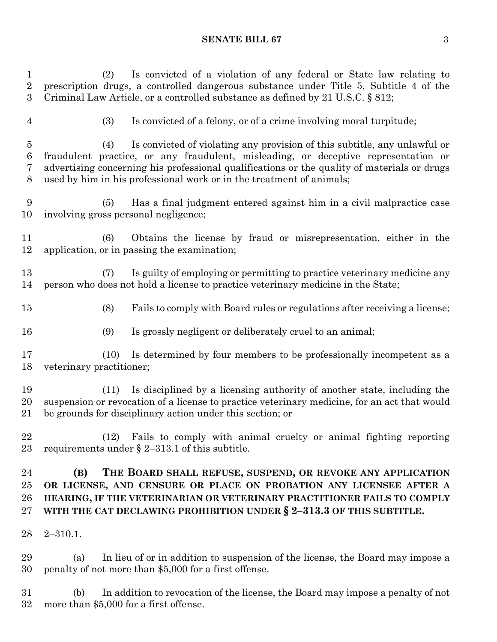### **SENATE BILL 67** 3

 (2) Is convicted of a violation of any federal or State law relating to prescription drugs, a controlled dangerous substance under Title 5, Subtitle 4 of the Criminal Law Article, or a controlled substance as defined by 21 U.S.C. § 812; (3) Is convicted of a felony, or of a crime involving moral turpitude; (4) Is convicted of violating any provision of this subtitle, any unlawful or fraudulent practice, or any fraudulent, misleading, or deceptive representation or advertising concerning his professional qualifications or the quality of materials or drugs used by him in his professional work or in the treatment of animals; (5) Has a final judgment entered against him in a civil malpractice case involving gross personal negligence; (6) Obtains the license by fraud or misrepresentation, either in the application, or in passing the examination; (7) Is guilty of employing or permitting to practice veterinary medicine any person who does not hold a license to practice veterinary medicine in the State; (8) Fails to comply with Board rules or regulations after receiving a license; (9) Is grossly negligent or deliberately cruel to an animal; (10) Is determined by four members to be professionally incompetent as a veterinary practitioner; (11) Is disciplined by a licensing authority of another state, including the suspension or revocation of a license to practice veterinary medicine, for an act that would be grounds for disciplinary action under this section; or (12) Fails to comply with animal cruelty or animal fighting reporting requirements under § 2–313.1 of this subtitle. **(B) THE BOARD SHALL REFUSE, SUSPEND, OR REVOKE ANY APPLICATION OR LICENSE, AND CENSURE OR PLACE ON PROBATION ANY LICENSEE AFTER A HEARING, IF THE VETERINARIAN OR VETERINARY PRACTITIONER FAILS TO COMPLY WITH THE CAT DECLAWING PROHIBITION UNDER § 2–313.3 OF THIS SUBTITLE.** 2–310.1. (a) In lieu of or in addition to suspension of the license, the Board may impose a penalty of not more than \$5,000 for a first offense.

 (b) In addition to revocation of the license, the Board may impose a penalty of not more than \$5,000 for a first offense.